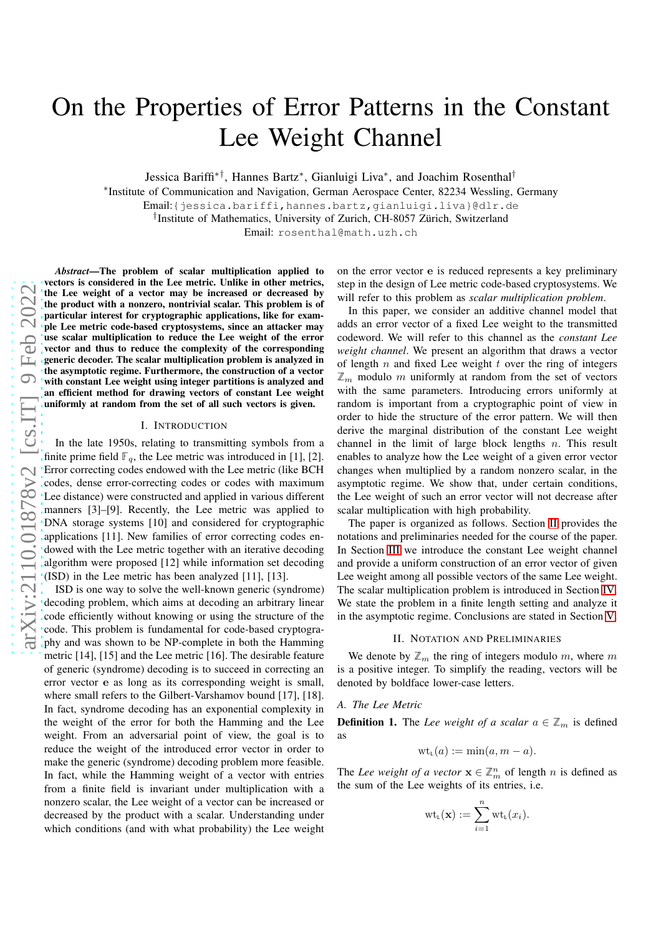# On the Properties of Error Patterns in the Constant Lee Weight Channel

Jessica Bariffi<sup>\*†</sup>, Hannes Bartz<sup>\*</sup>, Gianluigi Liva<sup>\*</sup>, and Joachim Rosenthal<sup>†</sup>

∗ Institute of Communication and Navigation, German Aerospace Center, 82234 Wessling, Germany

Email:{jessica.bariffi,hannes.bartz,gianluigi.liva}@dlr.d e

† Institute of Mathematics, University of Zurich, CH-8057 Zürich, Switzerland

Email: rosenthal@math.uzh.ch

*Abstract*—The problem of scalar multiplication applied to vectors is considered in the Lee metric. Unlike in other metrics, the Lee weight of a vector may be increased or decreased by the product with a nonzero, nontrivial scalar. This problem is of particular interest for cryptographic applications, like for example Lee metric code-based cryptosystems, since an attacker may use scalar multiplication to reduce the Lee weight of the error vector and thus to reduce the complexity of the correspondin g generic decoder. The scalar multiplication problem is analyzed in the asymptotic regime. Furthermore, the construction of a vector with constant Lee weight using integer partitions is analyzed and an efficient method for drawing vectors of constant Lee weigh t uniformly at random from the set of all such vectors is given.

#### I. INTRODUCTION

In the late 1950s, relating to transmitting symbols from a finite prime field  $\mathbb{F}_q$ , the Lee metric was introduced in [1], [2]. Error correcting codes endowed with the Lee metric (like BCH codes, dense error-correcting codes or codes with maximum Lee distance) were constructed and applied in various different manners [3]–[9]. Recently, the Lee metric was applied to DNA storage systems [10] and considered for cryptographic applications [11]. New families of error correcting codes endowed with the Lee metric together with an iterative decoding algorithm were proposed [12] while information set decodin g (ISD) in the Lee metric has been analyzed [11], [13].

ISD is one way to solve the well-known generic (syndrome) decoding problem, which aims at decoding an arbitrary linear code efficiently without knowing or using the structure of th e code. This problem is fundamental for code-based cryptogra phy and was shown to be NP-complete in both the Hamming metric [14], [15] and the Lee metric [16]. The desirable feature of generic (syndrome) decoding is to succeed in correcting a n error vector e as long as its corresponding weight is small, where small refers to the Gilbert-Varshamov bound [17], [18]. In fact, syndrome decoding has an exponential complexity in the weight of the error for both the Hamming and the Lee weight. From an adversarial point of view, the goal is to reduce the weight of the introduced error vector in order to make the generic (syndrome) decoding problem more feasible . In fact, while the Hamming weight of a vector with entries from a finite field is invariant under multiplication with a nonzero scalar, the Lee weight of a vector can be increased or decreased by the product with a scalar. Understanding under which conditions (and with what probability) the Lee weight

on the error vector e is reduced represents a key preliminary step in the design of Lee metric code-based cryptosystems. We will refer to this problem as *scalar multiplication problem* .

In this paper, we consider an additive channel model that adds an error vector of a fixed Lee weight to the transmitted codeword. We will refer to this channel as the *constant Lee weight channel*. We present an algorithm that draws a vector of length  $n$  and fixed Lee weight  $t$  over the ring of integers  $\mathbb{Z}_m$  modulo m uniformly at random from the set of vectors with the same parameters. Introducing errors uniformly at random is important from a cryptographic point of view in order to hide the structure of the error pattern. We will then derive the marginal distribution of the constant Lee weight channel in the limit of large block lengths  $n$ . This result enables to analyze how the Lee weight of a given error vector changes when multiplied by a random nonzero scalar, in the asymptotic regime. We show that, under certain conditions, the Lee weight of such an error vector will not decrease after scalar multiplication with high probability.

The paper is organized as follows. Section [II](#page-0-0) provides the notations and preliminaries needed for the course of the paper. In Section [III](#page-1-0) we introduce the constant Lee weight channel and provide a uniform construction of an error vector of give n Lee weight among all possible vectors of the same Lee weight. The scalar multiplication problem is introduced in Section [IV.](#page-3-0) We state the problem in a finite length setting and analyze it in the asymptotic regime. Conclusions are stated in Section [V.](#page-4-0)

## II. NOTATION AND PRELIMINARIES

<span id="page-0-0"></span>We denote by  $\mathbb{Z}_m$  the ring of integers modulo m, where m is a positive integer. To simplify the reading, vectors will be denoted by boldface lower-case letters.

### *A. The Lee Metric*

<span id="page-0-1"></span>**Definition 1.** The *Lee weight of a scalar*  $a \in \mathbb{Z}_m$  is defined as

$$
\mathrm{wt}_{\mathsf{L}}(a) := \min(a, m - a).
$$

The *Lee weight of a vector*  $\mathbf{x} \in \mathbb{Z}_m^n$  of length *n* is defined as the sum of the Lee weights of its entries, i.e.

$$
\mathrm{wt}_{L}(\mathbf{x}) := \sum_{i=1}^{n} \mathrm{wt}_{L}(x_{i}).
$$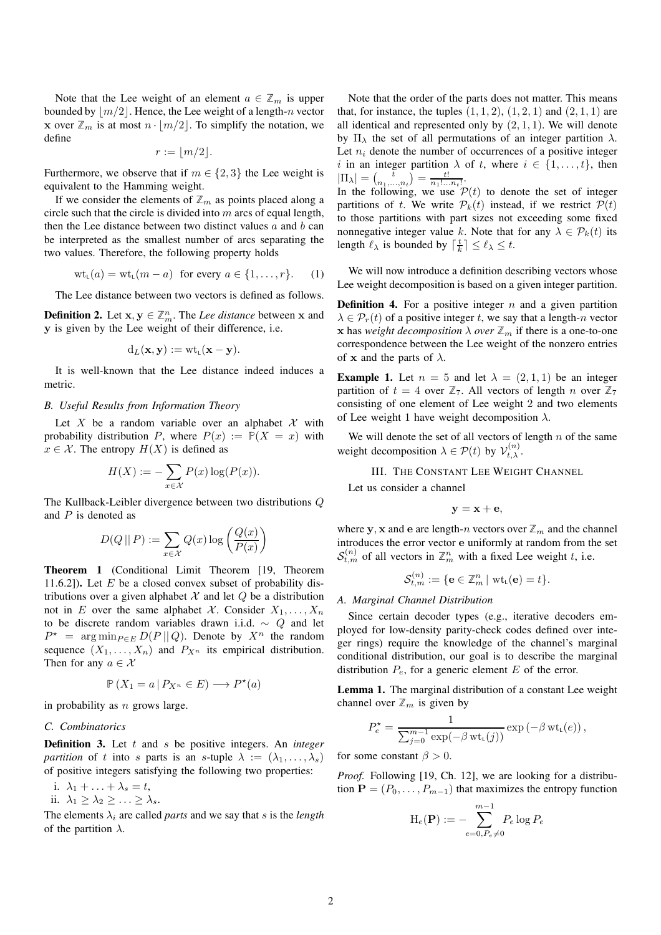Note that the Lee weight of an element  $a \in \mathbb{Z}_m$  is upper bounded by  $|m/2|$ . Hence, the Lee weight of a length-n vector **x** over  $\mathbb{Z}_m$  is at most  $n \cdot \lfloor m/2 \rfloor$ . To simplify the notation, we define

$$
r := \lfloor m/2 \rfloor.
$$

Furthermore, we observe that if  $m \in \{2,3\}$  the Lee weight is equivalent to the Hamming weight.

If we consider the elements of  $\mathbb{Z}_m$  as points placed along a circle such that the circle is divided into  $m$  arcs of equal length, then the Lee distance between two distinct values  $a$  and  $b$  can be interpreted as the smallest number of arcs separating the two values. Therefore, the following property holds

$$
wt_{L}(a) = wt_{L}(m-a) \text{ for every } a \in \{1,\ldots,r\}. \tag{1}
$$

The Lee distance between two vectors is defined as follows.

**Definition 2.** Let  $x, y \in \mathbb{Z}_m^n$ . The *Lee distance* between x and y is given by the Lee weight of their difference, i.e.

$$
d_L(\mathbf{x}, \mathbf{y}) := \text{wt}_{\mathsf{L}}(\mathbf{x} - \mathbf{y}).
$$

It is well-known that the Lee distance indeed induces a metric.

# *B. Useful Results from Information Theory*

Let X be a random variable over an alphabet X with probability distribution P, where  $P(x) := P(X = x)$  with  $x \in \mathcal{X}$ . The entropy  $H(X)$  is defined as

$$
H(X) := -\sum_{x \in \mathcal{X}} P(x) \log(P(x)).
$$

The Kullback-Leibler divergence between two distributions Q and  $P$  is denoted as

$$
D(Q \mid\mid P) := \sum_{x \in \mathcal{X}} Q(x) \log \left( \frac{Q(x)}{P(x)} \right)
$$

<span id="page-1-3"></span>Theorem 1 (Conditional Limit Theorem [19, Theorem 11.6.2]). Let  $E$  be a closed convex subset of probability distributions over a given alphabet  $\mathcal X$  and let  $Q$  be a distribution not in E over the same alphabet X. Consider  $X_1, \ldots, X_n$ to be discrete random variables drawn i.i.d.  $\sim Q$  and let  $P^*$  = arg min $_{P \in E} D(P || Q)$ . Denote by  $X^n$  the random sequence  $(X_1, \ldots, X_n)$  and  $P_{X^n}$  its empirical distribution. Then for any  $a \in \mathcal{X}$ 

$$
\mathbb{P}\left(X_1 = a \,|\, P_{X^n} \in E\right) \longrightarrow P^{\star}(a)
$$

in probability as  $n$  grows large.

# *C. Combinatorics*

Definition 3. Let t and s be positive integers. An *integer partition* of t into s parts is an s-tuple  $\lambda := (\lambda_1, \dots, \lambda_s)$ of positive integers satisfying the following two properties:

i.  $\lambda_1 + \ldots + \lambda_s = t$ ,

ii.  $\lambda_1 \geq \lambda_2 \geq \ldots \geq \lambda_s$ .

The elements  $\lambda_i$  are called *parts* and we say that s is the *length* of the partition  $\lambda$ .

Note that the order of the parts does not matter. This means that, for instance, the tuples  $(1, 1, 2)$ ,  $(1, 2, 1)$  and  $(2, 1, 1)$  are all identical and represented only by  $(2, 1, 1)$ . We will denote by  $\Pi_{\lambda}$  the set of all permutations of an integer partition  $\lambda$ . Let  $n_i$  denote the number of occurrences of a positive integer i in an integer partition  $\lambda$  of t, where  $i \in \{1, \ldots, t\}$ , then  $|\Pi_{\lambda}| = \left(\frac{\bar{t}}{n_1,...,n_t}\right) = \frac{t!}{n_1!...n_t!}.$ 

In the following, we use  $P(t)$  to denote the set of integer partitions of t. We write  $\mathcal{P}_k(t)$  instead, if we restrict  $\mathcal{P}(t)$ to those partitions with part sizes not exceeding some fixed nonnegative integer value k. Note that for any  $\lambda \in \mathcal{P}_k(t)$  its length  $\ell_{\lambda}$  is bounded by  $\lceil \frac{t}{k} \rceil \leq \ell_{\lambda} \leq t$ .

<span id="page-1-4"></span>We will now introduce a definition describing vectors whose Lee weight decomposition is based on a given integer partition.

<span id="page-1-2"></span>**Definition 4.** For a positive integer  $n$  and a given partition  $\lambda \in \mathcal{P}_r(t)$  of a positive integer t, we say that a length-n vector **x** has *weight decomposition*  $\lambda$  *over*  $\mathbb{Z}_m$  if there is a one-to-one correspondence between the Lee weight of the nonzero entries of x and the parts of  $\lambda$ .

**Example 1.** Let  $n = 5$  and let  $\lambda = (2, 1, 1)$  be an integer partition of  $t = 4$  over  $\mathbb{Z}_7$ . All vectors of length n over  $\mathbb{Z}_7$ consisting of one element of Lee weight 2 and two elements of Lee weight 1 have weight decomposition  $\lambda$ .

<span id="page-1-0"></span>We will denote the set of all vectors of length  $n$  of the same weight decomposition  $\lambda \in \mathcal{P}(t)$  by  $\mathcal{V}_{t,\lambda}^{(n)}$ .

III. THE CONSTANT LEE WEIGHT CHANNEL

Let us consider a channel

$$
\mathbf{y} = \mathbf{x} + \mathbf{e},
$$

where y, x and e are length-n vectors over  $\mathbb{Z}_m$  and the channel introduces the error vector e uniformly at random from the set  $S_{t,m}^{(n)}$  of all vectors in  $\mathbb{Z}_m^n$  with a fixed Lee weight t, i.e.

$$
\mathcal{S}_{t,m}^{(n)}:=\{\mathbf{e}\in\mathbb{Z}_m^n\,|\,\operatorname{wt}_{\scriptscriptstyle \sf L}(\mathbf{e})=t\}.
$$

#### *A. Marginal Channel Distribution*

Since certain decoder types (e.g., iterative decoders employed for low-density parity-check codes defined over integer rings) require the knowledge of the channel's marginal conditional distribution, our goal is to describe the marginal distribution  $P_e$ , for a generic element  $E$  of the error.

<span id="page-1-1"></span>Lemma 1. The marginal distribution of a constant Lee weight channel over  $\mathbb{Z}_m$  is given by

$$
P_e^* = \frac{1}{\sum_{j=0}^{m-1} \exp(-\beta \operatorname{wt}_{L}(j))} \exp(-\beta \operatorname{wt}_{L}(e)),
$$

for some constant  $\beta > 0$ .

*Proof.* Following [19, Ch. 12], we are looking for a distribution  $\mathbf{P} = (P_0, \dots, P_{m-1})$  that maximizes the entropy function

$$
\mathrm{H}_e(\mathbf{P}) := -\sum_{e=0, P_e \neq 0}^{m-1} P_e \log P_e
$$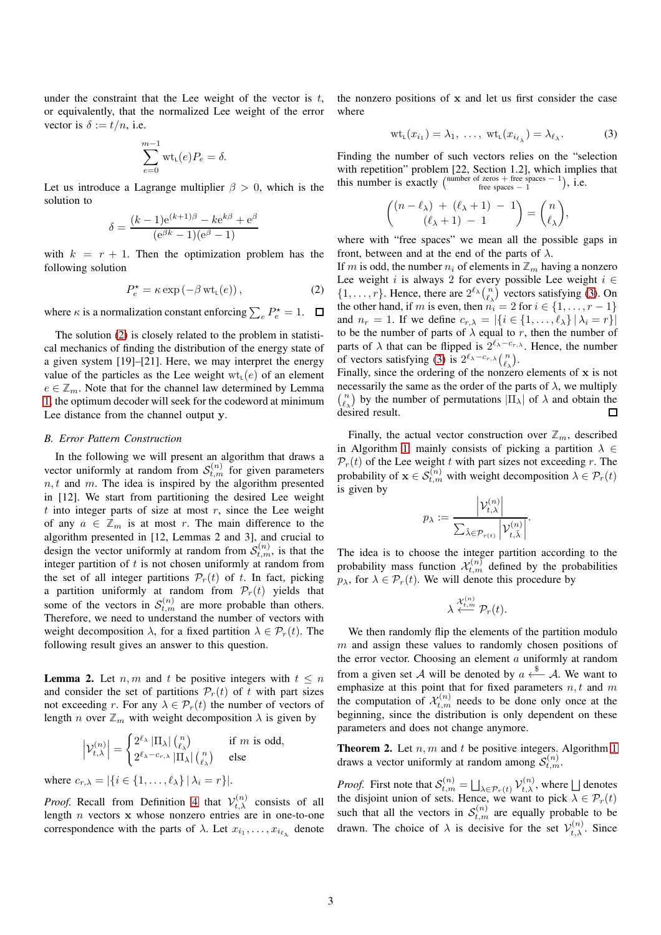under the constraint that the Lee weight of the vector is  $t$ , or equivalently, that the normalized Lee weight of the error vector is  $\delta := t/n$ , i.e.

$$
\sum_{e=0}^{m-1} \text{wt}_{\mathsf{L}}(e) P_e = \delta.
$$

Let us introduce a Lagrange multiplier  $\beta > 0$ , which is the solution to

$$
\delta = \frac{(k-1)e^{(k+1)\beta} - ke^{k\beta} + e^{\beta}}{(e^{\beta k} - 1)(e^{\beta} - 1)}
$$

with  $k = r + 1$ . Then the optimization problem has the following solution

$$
P_e^* = \kappa \exp(-\beta \operatorname{wt}_{L}(e)), \qquad (2)
$$

where  $\kappa$  is a normalization constant enforcing  $\sum_{e} P_e^* = 1$ .

The solution [\(2\)](#page-2-0) is closely related to the problem in statistical mechanics of finding the distribution of the energy state of a given system [19]–[21]. Here, we may interpret the energy value of the particles as the Lee weight  $wt_{\iota}(e)$  of an element  $e \in \mathbb{Z}_m$ . Note that for the channel law determined by Lemma [1,](#page-1-1) the optimum decoder will seek for the codeword at minimum Lee distance from the channel output y.

#### *B. Error Pattern Construction*

In the following we will present an algorithm that draws a vector uniformly at random from  $S_{t,m}^{(n)}$  for given parameters  $n, t$  and m. The idea is inspired by the algorithm presented in [12]. We start from partitioning the desired Lee weight  $t$  into integer parts of size at most  $r$ , since the Lee weight of any  $a \in \mathbb{Z}_m$  is at most r. The main difference to the algorithm presented in [12, Lemmas 2 and 3], and crucial to design the vector uniformly at random from  $S_{t,m}^{(n)}$ , is that the integer partition of  $t$  is not chosen uniformly at random from the set of all integer partitions  $\mathcal{P}_r(t)$  of t. In fact, picking a partition uniformly at random from  $\mathcal{P}_r(t)$  yields that some of the vectors in  $S_{t,m}^{(n)}$  are more probable than others. Therefore, we need to understand the number of vectors with weight decomposition  $\lambda$ , for a fixed partition  $\lambda \in \mathcal{P}_r(t)$ . The following result gives an answer to this question.

<span id="page-2-2"></span>**Lemma 2.** Let  $n, m$  and t be positive integers with  $t \leq n$ and consider the set of partitions  $\mathcal{P}_r(t)$  of t with part sizes not exceeding r. For any  $\lambda \in \mathcal{P}_r(t)$  the number of vectors of length *n* over  $\mathbb{Z}_m$  with weight decomposition  $\lambda$  is given by

$$
\left|\mathcal{V}_{t,\lambda}^{(n)}\right| = \begin{cases} 2^{\ell_{\lambda}} \left|\Pi_{\lambda}\right| {n \choose \ell_{\lambda}} & \text{if } m \text{ is odd,} \\ 2^{\ell_{\lambda} - c_{r,\lambda}} \left|\Pi_{\lambda}\right| {n \choose \ell_{\lambda}} & \text{else} \end{cases}
$$

where  $c_{r,\lambda} = |\{i \in \{1,\dots,\ell_\lambda\} | \lambda_i = r\}|.$ 

*Proof.* Recall from Definition [4](#page-1-2) that  $V_{t,\lambda}^{(n)}$  consists of all length  $n$  vectors  $x$  whose nonzero entries are in one-to-one correspondence with the parts of  $\lambda$ . Let  $x_{i_1}, \ldots, x_{i_{\ell_{\lambda}}}$  denote the nonzero positions of x and let us first consider the case where

<span id="page-2-1"></span>
$$
\operatorname{wt}_{\mathsf{L}}(x_{i_1}) = \lambda_1, \ldots, \, \operatorname{wt}_{\mathsf{L}}(x_{i_{\ell_{\lambda}}}) = \lambda_{\ell_{\lambda}}.\tag{3}
$$

Finding the number of such vectors relies on the "selection with repetition" problem [22, Section 1.2], which implies that this number is exactly  $\begin{pmatrix} \text{number of zeros} + \text{free spaces} - 1 \\ \text{free spaces} - 1 \end{pmatrix}$ , i.e.

$$
\binom{(n-\ell_\lambda) + (\ell_\lambda+1) - 1}{(\ell_\lambda+1) - 1} = \binom{n}{\ell_\lambda},
$$

where with "free spaces" we mean all the possible gaps in front, between and at the end of the parts of  $\lambda$ .

<span id="page-2-0"></span>If m is odd, the number  $n_i$  of elements in  $\mathbb{Z}_m$  having a nonzero Lee weight i is always 2 for every possible Lee weight  $i \in$  $\{1, \ldots, r\}$ . Hence, there are  $2^{\ell_{\lambda}} {n \choose \ell_{\lambda}}$  vectors satisfying [\(3\)](#page-2-1). On the other hand, if m is even, then  $n_i = 2$  for  $i \in \{1, \ldots, r-1\}$ and  $n_r = 1$ . If we define  $c_{r,\lambda} = |\{i \in \{1, \dots, \ell_\lambda\} | \lambda_i = r\}|$ to be the number of parts of  $\lambda$  equal to r, then the number of parts of  $\lambda$  that can be flipped is  $2^{\ell_{\lambda}-c_{r,\lambda}}$ . Hence, the number of vectors satisfying [\(3\)](#page-2-1) is  $2^{\ell_{\lambda}-c_{r,\lambda}} \binom{n}{\ell_{\lambda}}$ .

Finally, since the ordering of the nonzero elements of  $x$  is not necessarily the same as the order of the parts of  $\lambda$ , we multiply  $\binom{n}{\ell_{\lambda}}$  by the number of permutations  $|\Pi_{\lambda}|$  of  $\lambda$  and obtain the desired result.  $\Box$ 

Finally, the actual vector construction over  $\mathbb{Z}_m$ , described in Algorithm [1,](#page-3-1) mainly consists of picking a partition  $\lambda \in$  $\mathcal{P}_r(t)$  of the Lee weight t with part sizes not exceeding r. The probability of  $\mathbf{x} \in \mathcal{S}_{t,m}^{(n)}$  with weight decomposition  $\lambda \in \mathcal{P}_r(t)$ is given by

$$
p_{\lambda} := \frac{\left|\mathcal{V}_{t,\lambda}^{(n)}\right|}{\sum_{\tilde{\lambda} \in \mathcal{P}_{r(t)}} \left|\mathcal{V}_{t,\tilde{\lambda}}^{(n)}\right|}.
$$

The idea is to choose the integer partition according to the probability mass function  $\mathcal{X}_{t,m}^{(n)}$  defined by the probabilities  $p_{\lambda}$ , for  $\lambda \in \mathcal{P}_r(t)$ . We will denote this procedure by

$$
\lambda \stackrel{\mathcal{X}^{(n)}_{t,m}}{\longleftarrow} \mathcal{P}_r(t).
$$

We then randomly flip the elements of the partition modulo  $m$  and assign these values to randomly chosen positions of the error vector. Choosing an element  $a$  uniformly at random from a given set A will be denoted by  $a \stackrel{\$}{\longleftarrow} A$ . We want to emphasize at this point that for fixed parameters  $n, t$  and  $m$ the computation of  $\mathcal{X}_{t,m}^{(n)}$  needs to be done only once at the beginning, since the distribution is only dependent on these parameters and does not change anymore.

**Theorem 2.** Let  $n, m$  and  $t$  be positive integers. Algorithm [1](#page-3-1) draws a vector uniformly at random among  $S_{t,m}^{(n)}$ .

*Proof.* First note that  $\mathcal{S}_{t,m}^{(n)} = \bigsqcup_{\lambda \in \mathcal{P}_r(t)} \mathcal{V}_{t,\lambda}^{(n)}$ , where  $\bigsqcup$  denotes the disjoint union of sets. Hence, we want to pick  $\lambda \in \mathcal{P}_r(t)$ such that all the vectors in  $S_{t,m}^{(n)}$  are equally probable to be drawn. The choice of  $\lambda$  is decisive for the set  $\mathcal{V}_{t,\lambda}^{(n)}$ . Since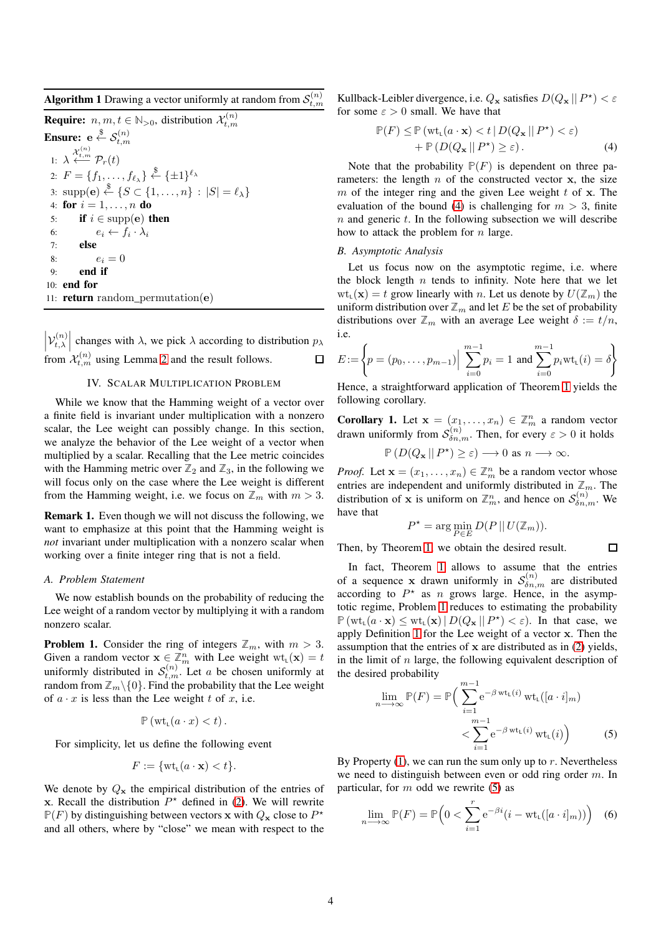<span id="page-3-1"></span>**Algorithm 1** Drawing a vector uniformly at random from  $\mathcal{S}_{t,m}^{(n)}$ 

**Require:**  $n, m, t \in \mathbb{N}_{>0}$ , distribution  $\mathcal{X}_{t,m}^{(n)}$ Ensure:  $e \overset{\$}{\leftarrow} \mathcal{S}^{(n)}_{t,m}$ 1:  $\lambda \stackrel{\mathcal{X}_{t,m}^{(n)}}{\longleftarrow} \mathcal{P}_r(t)$ 2:  $F = \{f_1, \ldots, f_{\ell_{\lambda}}\} \stackrel{\$}{\leftarrow} \{\pm 1\}^{\ell_{\lambda}}$ 3:  $\text{supp}(\mathbf{e}) \stackrel{\$}{\leftarrow} \{S \subset \{1, \ldots, n\} : |S| = \ell_{\lambda}\}\$ 4: for  $i = 1, ..., n$  do 5: if  $i \in \text{supp}(\mathbf{e})$  then 6:  $e_i \leftarrow f_i \cdot \lambda_i$ 7: else 8:  $e_i = 0$ 9: end if 10: end for 11: **return** random permutation( $e$ )

 $\left|\mathcal{V}_{t,\lambda}^{(n)}\right|$  changes with  $\lambda$ , we pick  $\lambda$  according to distribution  $p_{\lambda}$ from  $\mathcal{X}_{t,m}^{(n)}$  using Lemma [2](#page-2-2) and the result follows.

# IV. SCALAR MULTIPLICATION PROBLEM

<span id="page-3-0"></span>While we know that the Hamming weight of a vector over a finite field is invariant under multiplication with a nonzero scalar, the Lee weight can possibly change. In this section, we analyze the behavior of the Lee weight of a vector when multiplied by a scalar. Recalling that the Lee metric coincides with the Hamming metric over  $\mathbb{Z}_2$  and  $\mathbb{Z}_3$ , in the following we will focus only on the case where the Lee weight is different from the Hamming weight, i.e. we focus on  $\mathbb{Z}_m$  with  $m > 3$ .

Remark 1. Even though we will not discuss the following, we want to emphasize at this point that the Hamming weight is *not* invariant under multiplication with a nonzero scalar when working over a finite integer ring that is not a field.

## *A. Problem Statement*

We now establish bounds on the probability of reducing the Lee weight of a random vector by multiplying it with a random nonzero scalar.

<span id="page-3-4"></span>**Problem 1.** Consider the ring of integers  $\mathbb{Z}_m$ , with  $m > 3$ . Given a random vector  $\mathbf{x} \in \mathbb{Z}_m^n$  with Lee weight  $\text{wt}_{\mathsf{L}}(\mathbf{x}) = t$ uniformly distributed in  $S_{t,m}^{(n)}$ . Let a be chosen uniformly at random from  $\mathbb{Z}_m \setminus \{0\}$ . Find the probability that the Lee weight of  $a \cdot x$  is less than the Lee weight t of x, i.e.

$$
\mathbb{P}\left(\mathrm{wt}_{\mathsf{L}}(a\cdot x)
$$

For simplicity, let us define the following event

$$
F := \{ \text{wt}_{\mathsf{L}}(a \cdot \mathbf{x}) < t \}.
$$

We denote by  $Q_x$  the empirical distribution of the entries of x. Recall the distribution  $P^*$  defined in [\(2\)](#page-2-0). We will rewrite  $\mathbb{P}(F)$  by distinguishing between vectors x with  $Q_x$  close to  $P^*$ and all others, where by "close" we mean with respect to the

Kullback-Leibler divergence, i.e.  $Q_x$  satisfies  $D(Q_x || P^*) < \varepsilon$ for some  $\varepsilon > 0$  small. We have that

<span id="page-3-2"></span>
$$
\mathbb{P}(F) \le \mathbb{P} \left( \text{wt}_{L}(a \cdot \mathbf{x}) < t \, | \, D(Q_{\mathbf{x}} \, || \, P^{\star}) < \varepsilon \right) \\
\quad + \mathbb{P} \left( D(Q_{\mathbf{x}} \, || \, P^{\star}) \ge \varepsilon \right). \tag{4}
$$

Note that the probability  $\mathbb{P}(F)$  is dependent on three parameters: the length  $n$  of the constructed vector  $x$ , the size m of the integer ring and the given Lee weight  $t$  of  $x$ . The evaluation of the bound [\(4\)](#page-3-2) is challenging for  $m > 3$ , finite  $n$  and generic  $t$ . In the following subsection we will describe how to attack the problem for  $n$  large.

#### *B. Asymptotic Analysis*

Let us focus now on the asymptotic regime, i.e. where the block length  $n$  tends to infinity. Note here that we let  $wt_1(\mathbf{x}) = t$  grow linearly with n. Let us denote by  $U(\mathbb{Z}_m)$  the uniform distribution over  $\mathbb{Z}_m$  and let E be the set of probability distributions over  $\mathbb{Z}_m$  with an average Lee weight  $\delta := t/n$ , i.e.

$$
E := \left\{ p = (p_0, \dots, p_{m-1}) \Big| \sum_{i=0}^{m-1} p_i = 1 \text{ and } \sum_{i=0}^{m-1} p_i \text{wt}_{\mathsf{L}}(i) = \delta \right\}
$$

Hence, a straightforward application of Theorem [1](#page-1-3) yields the following corollary.

<span id="page-3-3"></span>**Corollary 1.** Let  $\mathbf{x} = (x_1, \dots, x_n) \in \mathbb{Z}_m^n$  a random vector drawn uniformly from  $S_{\delta n,m}^{(n)}$ . Then, for every  $\varepsilon > 0$  it holds

$$
\mathbb{P}\left(D(Q_{\mathbf{x}} \,||\, P^{\star}\right) \geq \varepsilon\right) \longrightarrow 0 \text{ as } n \longrightarrow \infty.
$$

*Proof.* Let  $\mathbf{x} = (x_1, \dots, x_n) \in \mathbb{Z}_m^n$  be a random vector whose entries are independent and uniformly distributed in  $\mathbb{Z}_m$ . The distribution of **x** is uniform on  $\mathbb{Z}_m^n$ , and hence on  $\mathcal{S}_{\delta n,m}^{(n)}$ . We have that

$$
P^* = \arg\min_{P \in E} D(P || U(\mathbb{Z}_m)).
$$

<span id="page-3-5"></span> $\Box$ 

Then, by Theorem [1,](#page-1-3) we obtain the desired result.

In fact, Theorem [1](#page-3-3) allows to assume that the entries of a sequence x drawn uniformly in  $S_{\delta n,m}^{(n)}$  are distributed according to  $P^*$  as n grows large. Hence, in the asymptotic regime, Problem [1](#page-3-4) reduces to estimating the probability  $\mathbb{P}(\mathrm{wt}_{\mathsf{L}}(a \cdot \mathbf{x}) \leq \mathrm{wt}_{\mathsf{L}}(\mathbf{x}) \mid D(Q_{\mathbf{x}} \mid P^{\star}) < \varepsilon)$ . In that case, we apply Definition [1](#page-0-1) for the Lee weight of a vector x. Then the assumption that the entries of  $x$  are distributed as in  $(2)$  yields, in the limit of  $n$  large, the following equivalent description of the desired probability

$$
\lim_{n \to \infty} \mathbb{P}(F) = \mathbb{P}\Big(\sum_{i=1}^{m-1} e^{-\beta \operatorname{wt}_{\mathsf{L}}(i)} \operatorname{wt}_{\mathsf{L}}([a \cdot i]_m) \times \sum_{i=1}^{m-1} e^{-\beta \operatorname{wt}_{\mathsf{L}}(i)} \operatorname{wt}_{\mathsf{L}}(i)\Big) \tag{5}
$$

By Property  $(1)$ , we can run the sum only up to r. Nevertheless we need to distinguish between even or odd ring order m. In particular, for  $m$  odd we rewrite [\(5\)](#page-3-5) as

<span id="page-3-6"></span>
$$
\lim_{n \to \infty} \mathbb{P}(F) = \mathbb{P}\Big(0 < \sum_{i=1}^{r} e^{-\beta i} \big(i - \text{wt}_{\text{L}}([a \cdot i]_m)\big)\Big) \tag{6}
$$